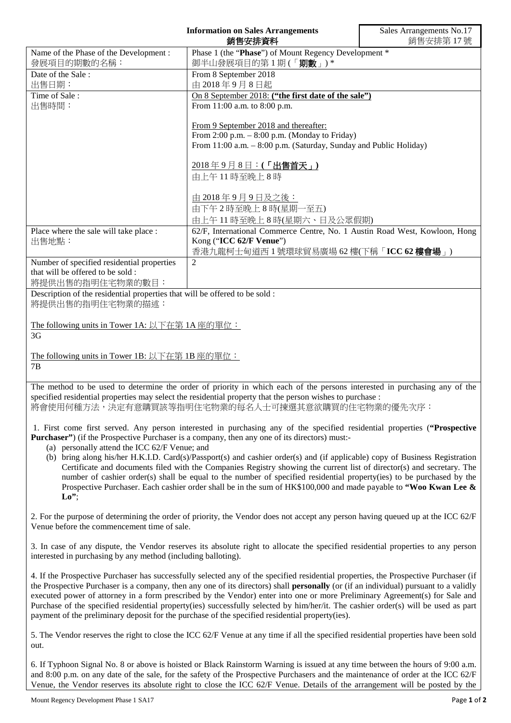|                                                                                                                                                                                                                                            | <b>Information on Sales Arrangements</b><br>銷售安排資料                         | Sales Arrangements No.17<br>銷售安排第17號 |
|--------------------------------------------------------------------------------------------------------------------------------------------------------------------------------------------------------------------------------------------|----------------------------------------------------------------------------|--------------------------------------|
| Name of the Phase of the Development :                                                                                                                                                                                                     | Phase 1 (the "Phase") of Mount Regency Development *                       |                                      |
| 發展項目的期數的名稱:                                                                                                                                                                                                                                | 御半山發展項目的第1期(「期數」)*                                                         |                                      |
| Date of the Sale:                                                                                                                                                                                                                          | From 8 September 2018                                                      |                                      |
| 出售日期:<br>Time of Sale:                                                                                                                                                                                                                     | 由 2018年9月8日起<br>On 8 September 2018: ("the first date of the sale")        |                                      |
| 出售時間:                                                                                                                                                                                                                                      | From 11:00 a.m. to 8:00 p.m.                                               |                                      |
|                                                                                                                                                                                                                                            |                                                                            |                                      |
|                                                                                                                                                                                                                                            | From 9 September 2018 and thereafter:                                      |                                      |
|                                                                                                                                                                                                                                            | From 2:00 p.m. $-$ 8:00 p.m. (Monday to Friday)                            |                                      |
|                                                                                                                                                                                                                                            | From 11:00 a.m. - 8:00 p.m. (Saturday, Sunday and Public Holiday)          |                                      |
|                                                                                                                                                                                                                                            | 2018年9月8日:(「出售首天」)                                                         |                                      |
|                                                                                                                                                                                                                                            | 由上午11時至晚上8時                                                                |                                      |
|                                                                                                                                                                                                                                            |                                                                            |                                      |
|                                                                                                                                                                                                                                            | 由 2018年9月9日及之後:                                                            |                                      |
|                                                                                                                                                                                                                                            | 由下午2時至晚上8時(星期一至五)                                                          |                                      |
|                                                                                                                                                                                                                                            | 由上午11時至晚上8時(星期六、日及公眾假期)                                                    |                                      |
| Place where the sale will take place :                                                                                                                                                                                                     | 62/F, International Commerce Centre, No. 1 Austin Road West, Kowloon, Hong |                                      |
| 出售地點:                                                                                                                                                                                                                                      | Kong ("ICC 62/F Venue")<br>香港九龍柯士甸道西1號環球貿易廣場 62樓(下稱「ICC 62樓會場」)            |                                      |
| Number of specified residential properties                                                                                                                                                                                                 | 2                                                                          |                                      |
| that will be offered to be sold:                                                                                                                                                                                                           |                                                                            |                                      |
| 將提供出售的指明住宅物業的數目:                                                                                                                                                                                                                           |                                                                            |                                      |
| Description of the residential properties that will be offered to be sold :<br>將提供出售的指明住宅物業的描述:                                                                                                                                            |                                                                            |                                      |
|                                                                                                                                                                                                                                            |                                                                            |                                      |
| The following units in Tower 1A: 以下在第 1A 座的單位:                                                                                                                                                                                             |                                                                            |                                      |
| 3G                                                                                                                                                                                                                                         |                                                                            |                                      |
|                                                                                                                                                                                                                                            |                                                                            |                                      |
| The following units in Tower 1B: 以下在第 1B 座的單位:<br>7B                                                                                                                                                                                       |                                                                            |                                      |
|                                                                                                                                                                                                                                            |                                                                            |                                      |
| The method to be used to determine the order of priority in which each of the persons interested in purchasing any of the                                                                                                                  |                                                                            |                                      |
| specified residential properties may select the residential property that the person wishes to purchase :                                                                                                                                  |                                                                            |                                      |
| 將會使用何種方法,決定有意購買該等指明住宅物業的每名人士可揀選其意欲購買的住宅物業的優先次序:                                                                                                                                                                                            |                                                                            |                                      |
|                                                                                                                                                                                                                                            |                                                                            |                                      |
| 1. First come first served. Any person interested in purchasing any of the specified residential properties ("Prospective<br><b>Purchaser</b> ") (if the Prospective Purchaser is a company, then any one of its directors) must:-         |                                                                            |                                      |
| (a) personally attend the ICC 62/F Venue; and                                                                                                                                                                                              |                                                                            |                                      |
| (b) bring along his/her H.K.I.D. Card(s)/Passport(s) and cashier order(s) and (if applicable) copy of Business Registration                                                                                                                |                                                                            |                                      |
| Certificate and documents filed with the Companies Registry showing the current list of director(s) and secretary. The                                                                                                                     |                                                                            |                                      |
| number of cashier order(s) shall be equal to the number of specified residential property(ies) to be purchased by the<br>Prospective Purchaser. Each cashier order shall be in the sum of $HK$100,000$ and made payable to "Woo Kwan Lee & |                                                                            |                                      |
| $Lo$ ";                                                                                                                                                                                                                                    |                                                                            |                                      |
|                                                                                                                                                                                                                                            |                                                                            |                                      |
| 2. For the purpose of determining the order of priority, the Vendor does not accept any person having queued up at the ICC 62/F                                                                                                            |                                                                            |                                      |
| Venue before the commencement time of sale.                                                                                                                                                                                                |                                                                            |                                      |
| 3. In case of any dispute, the Vendor reserves its absolute right to allocate the specified residential properties to any person                                                                                                           |                                                                            |                                      |
| interested in purchasing by any method (including balloting).                                                                                                                                                                              |                                                                            |                                      |
|                                                                                                                                                                                                                                            |                                                                            |                                      |
| 4. If the Prospective Purchaser has successfully selected any of the specified residential properties, the Prospective Purchaser (if                                                                                                       |                                                                            |                                      |

the Prospective Purchaser is a company, then any one of its directors) shall **personally** (or (if an individual) pursuant to a validly executed power of attorney in a form prescribed by the Vendor) enter into one or more Preliminary Agreement(s) for Sale and Purchase of the specified residential property(ies) successfully selected by him/her/it. The cashier order(s) will be used as part payment of the preliminary deposit for the purchase of the specified residential property(ies).

5. The Vendor reserves the right to close the ICC 62/F Venue at any time if all the specified residential properties have been sold out.

6. If Typhoon Signal No. 8 or above is hoisted or Black Rainstorm Warning is issued at any time between the hours of 9:00 a.m. and 8:00 p.m. on any date of the sale, for the safety of the Prospective Purchasers and the maintenance of order at the ICC 62/F Venue, the Vendor reserves its absolute right to close the ICC 62/F Venue. Details of the arrangement will be posted by the